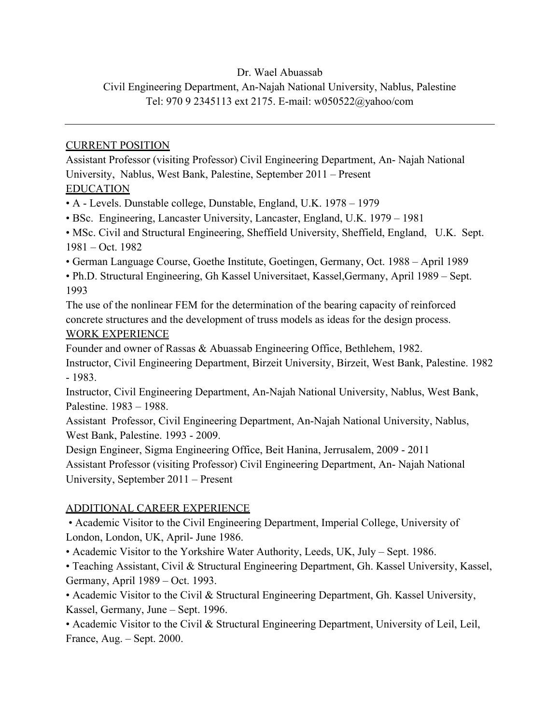### Dr. Wael Abuassab

# Civil Engineering Department, An-Najah National University, Nablus, Palestine Tel: 970 9 2345113 ext 2175. E-mail: w050522@yahoo/com

### CURRENT POSITION

Assistant Professor (visiting Professor) Civil Engineering Department, An- Najah National University, Nablus, West Bank, Palestine, September 2011 – Present EDUCATION

• A - Levels. Dunstable college, Dunstable, England, U.K. 1978 – 1979

• BSc. Engineering, Lancaster University, Lancaster, England, U.K. 1979 – 1981

• MSc. Civil and Structural Engineering, Sheffield University, Sheffield, England, U.K. Sept. 1981 – Oct. 1982

• German Language Course, Goethe Institute, Goetingen, Germany, Oct. 1988 – April 1989

• Ph.D. Structural Engineering, Gh Kassel Universitaet, Kassel,Germany, April 1989 – Sept. 1993

The use of the nonlinear FEM for the determination of the bearing capacity of reinforced concrete structures and the development of truss models as ideas for the design process. WORK EXPERIENCE

Founder and owner of Rassas & Abuassab Engineering Office, Bethlehem, 1982.

Instructor, Civil Engineering Department, Birzeit University, Birzeit, West Bank, Palestine. 1982 - 1983.

Instructor, Civil Engineering Department, An-Najah National University, Nablus, West Bank, Palestine. 1983 – 1988.

Assistant Professor, Civil Engineering Department, An-Najah National University, Nablus, West Bank, Palestine. 1993 - 2009.

Design Engineer, Sigma Engineering Office, Beit Hanina, Jerrusalem, 2009 - 2011 Assistant Professor (visiting Professor) Civil Engineering Department, An- Najah National University, September 2011 – Present

## ADDITIONAL CAREER EXPERIENCE

• Academic Visitor to the Civil Engineering Department, Imperial College, University of London, London, UK, April- June 1986.

• Academic Visitor to the Yorkshire Water Authority, Leeds, UK, July – Sept. 1986.

• Teaching Assistant, Civil & Structural Engineering Department, Gh. Kassel University, Kassel, Germany, April 1989 – Oct. 1993.

• Academic Visitor to the Civil & Structural Engineering Department, Gh. Kassel University, Kassel, Germany, June – Sept. 1996.

• Academic Visitor to the Civil & Structural Engineering Department, University of Leil, Leil, France, Aug. – Sept. 2000.